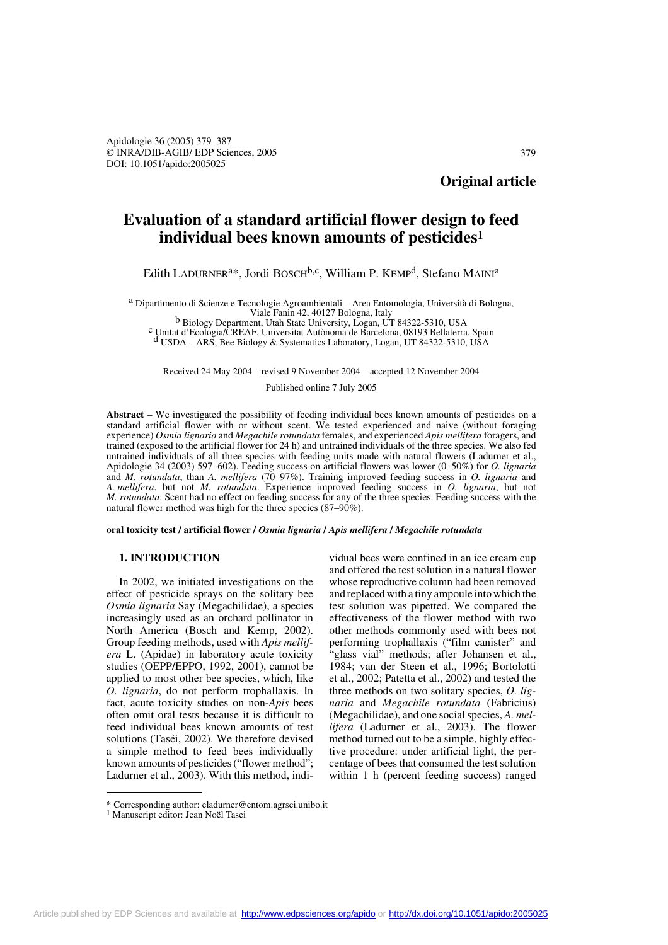**Original article**

# **Evaluation of a standard artificial flower design to feed individual bees known amounts of pesticides1**

Edith LADURNER<sup>a\*</sup>, Jordi BOSCH<sup>b,c</sup>, William P. KEMP<sup>d</sup>, Stefano MAINI<sup>a</sup>

a Dipartimento di Scienze e Tecnologie Agroambientali – Area Entomologia, Università di Bologna, Viale Fanin 42, 40127 Bologna, Italy<br>b Biology Department, Utah State University, Logan, UT 84322-5310, USA<br>c Unitat d'Ecologia/CREAF, Universitat Autònoma de Barcelona, 08193 Bellaterra, Spain<br>d'USDA – ARS, Bee Biology &

Received 24 May 2004 – revised 9 November 2004 – accepted 12 November 2004

Published online 7 July 2005

**Abstract** – We investigated the possibility of feeding individual bees known amounts of pesticides on a standard artificial flower with or without scent. We tested experienced and naive (without foraging experience) *Osmia lignaria* and *Megachile rotundata* females, and experienced *Apis mellifera* foragers, and trained (exposed to the artificial flower for 24 h) and untrained individuals of the three species. We also fed untrained individuals of all three species with feeding units made with natural flowers (Ladurner et al., Apidologie 34 (2003) 597–602). Feeding success on artificial flowers was lower (0–50%) for *O. lignaria* and *M. rotundata*, than *A. mellifera* (70–97%). Training improved feeding success in *O. lignaria* and *A. mellifera*, but not *M. rotundata*. Experience improved feeding success in *O. lignaria*, but not *M. rotundata*. Scent had no effect on feeding success for any of the three species. Feeding success with the natural flower method was high for the three species (87–90%).

**oral toxicity test / artificial flower /** *Osmia lignaria* **/** *Apis mellifera* **/** *Megachile rotundata*

# **1. INTRODUCTION**

In 2002, we initiated investigations on the effect of pesticide sprays on the solitary bee *Osmia lignaria* Say (Megachilidae), a species increasingly used as an orchard pollinator in North America (Bosch and Kemp, 2002). Group feeding methods, used with *Apis mellifera* L. (Apidae) in laboratory acute toxicity studies (OEPP/EPPO, 1992, 2001), cannot be applied to most other bee species, which, like *O. lignaria*, do not perform trophallaxis. In fact, acute toxicity studies on non-*Apis* bees often omit oral tests because it is difficult to feed individual bees known amounts of test solutions (Taséi, 2002). We therefore devised a simple method to feed bees individually known amounts of pesticides ("flower method"; Ladurner et al., 2003). With this method, indi-

vidual bees were confined in an ice cream cup and offered the test solution in a natural flower whose reproductive column had been removed and replaced with a tiny ampoule into which the test solution was pipetted. We compared the effectiveness of the flower method with two other methods commonly used with bees not performing trophallaxis ("film canister" and 'glass vial" methods; after Johansen et al., 1984; van der Steen et al., 1996; Bortolotti et al., 2002; Patetta et al., 2002) and tested the three methods on two solitary species, *O. lignaria* and *Megachile rotundata* (Fabricius) (Megachilidae), and one social species, *A. mellifera* (Ladurner et al., 2003). The flower method turned out to be a simple, highly effective procedure: under artificial light, the percentage of bees that consumed the test solution within 1 h (percent feeding success) ranged

 $^*$  Corresponding author: eladurner@entom.agrsci.unibo.it $^1$ Manuscript editor: Jean Noël Tasei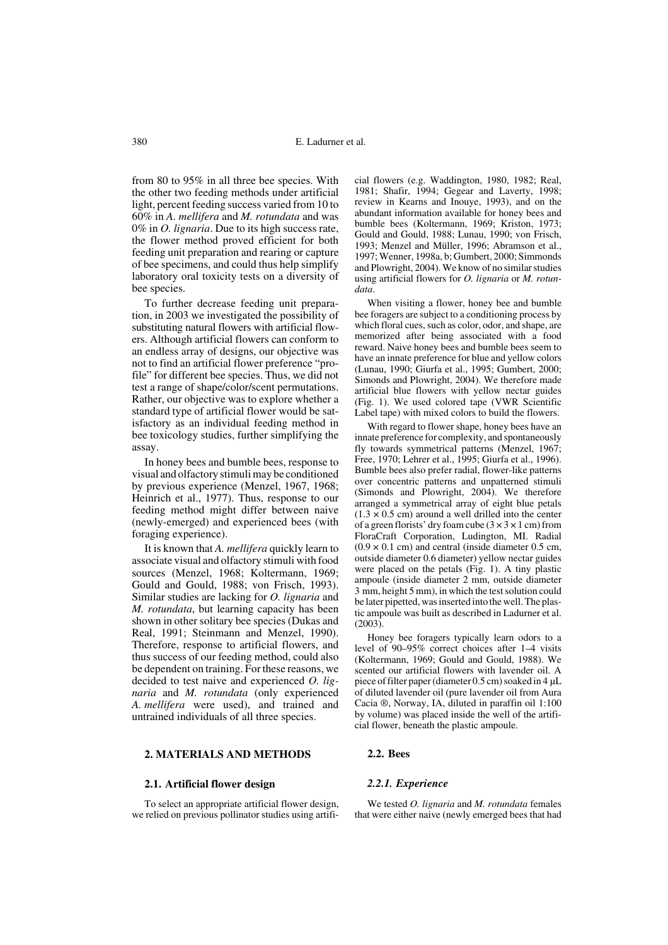from 80 to 95% in all three bee species. With the other two feeding methods under artificial light, percent feeding success varied from 10 to 60% in *A. mellifera* and *M. rotundata* and was 0% in *O. lignaria*. Due to its high success rate, the flower method proved efficient for both feeding unit preparation and rearing or capture of bee specimens, and could thus help simplify laboratory oral toxicity tests on a diversity of bee species.

To further decrease feeding unit preparation, in 2003 we investigated the possibility of substituting natural flowers with artificial flowers. Although artificial flowers can conform to an endless array of designs, our objective was not to find an artificial flower preference "profile" for different bee species. Thus, we did not test a range of shape/color/scent permutations. Rather, our objective was to explore whether a standard type of artificial flower would be satisfactory as an individual feeding method in bee toxicology studies, further simplifying the assay.

In honey bees and bumble bees, response to visual and olfactory stimuli may be conditioned by previous experience (Menzel, 1967, 1968; Heinrich et al., 1977). Thus, response to our feeding method might differ between naive (newly-emerged) and experienced bees (with foraging experience).

It is known that *A. mellifera* quickly learn to associate visual and olfactory stimuli with food sources (Menzel, 1968; Koltermann, 1969; Gould and Gould, 1988; von Frisch, 1993). Similar studies are lacking for *O. lignaria* and *M. rotundata*, but learning capacity has been shown in other solitary bee species (Dukas and Real, 1991; Steinmann and Menzel, 1990). Therefore, response to artificial flowers, and thus success of our feeding method, could also be dependent on training. For these reasons, we decided to test naive and experienced *O. lignaria* and *M. rotundata* (only experienced *A. mellifera* were used), and trained and untrained individuals of all three species.

## **2. MATERIALS AND METHODS**

#### **2.1. Artificial flower design**

To select an appropriate artificial flower design, we relied on previous pollinator studies using artificial flowers (e.g. Waddington, 1980, 1982; Real, 1981; Shafir, 1994; Gegear and Laverty, 1998; review in Kearns and Inouye, 1993), and on the abundant information available for honey bees and bumble bees (Koltermann, 1969; Kriston, 1973; Gould and Gould, 1988; Lunau, 1990; von Frisch, 1993; Menzel and Müller, 1996; Abramson et al., 1997; Wenner, 1998a, b; Gumbert, 2000; Simmonds and Plowright, 2004). We know of no similar studies using artificial flowers for *O. lignaria* or *M. rotundata*.

When visiting a flower, honey bee and bumble bee foragers are subject to a conditioning process by which floral cues, such as color, odor, and shape, are memorized after being associated with a food reward. Naive honey bees and bumble bees seem to have an innate preference for blue and yellow colors (Lunau, 1990; Giurfa et al., 1995; Gumbert, 2000; Simonds and Plowright, 2004). We therefore made artificial blue flowers with yellow nectar guides (Fig. 1). We used colored tape (VWR Scientific Label tape) with mixed colors to build the flowers.

With regard to flower shape, honey bees have an innate preference for complexity, and spontaneously fly towards symmetrical patterns (Menzel, 1967; Free, 1970; Lehrer et al., 1995; Giurfa et al., 1996). Bumble bees also prefer radial, flower-like patterns over concentric patterns and unpatterned stimuli (Simonds and Plowright, 2004). We therefore arranged a symmetrical array of eight blue petals  $(1.3 \times 0.5 \text{ cm})$  around a well drilled into the center of a green florists' dry foam cube  $(3 \times 3 \times 1 \text{ cm})$  from FloraCraft Corporation, Ludington, MI. Radial  $(0.9 \times 0.1 \text{ cm})$  and central (inside diameter 0.5 cm, outside diameter 0.6 diameter) yellow nectar guides were placed on the petals (Fig. 1). A tiny plastic ampoule (inside diameter 2 mm, outside diameter 3 mm, height 5 mm), in which the test solution could be later pipetted, was inserted into the well. The plastic ampoule was built as described in Ladurner et al.  $(2003)$ 

Honey bee foragers typically learn odors to a level of 90–95% correct choices after 1–4 visits (Koltermann, 1969; Gould and Gould, 1988). We scented our artificial flowers with lavender oil. A piece of filter paper (diameter 0.5 cm) soaked in 4 µL of diluted lavender oil (pure lavender oil from Aura Cacia ®, Norway, IA, diluted in paraffin oil 1:100 by volume) was placed inside the well of the artificial flower, beneath the plastic ampoule.

# **2.2. Bees**

#### *2.2.1. Experience*

We tested *O. lignaria* and *M. rotundata* females that were either naive (newly emerged bees that had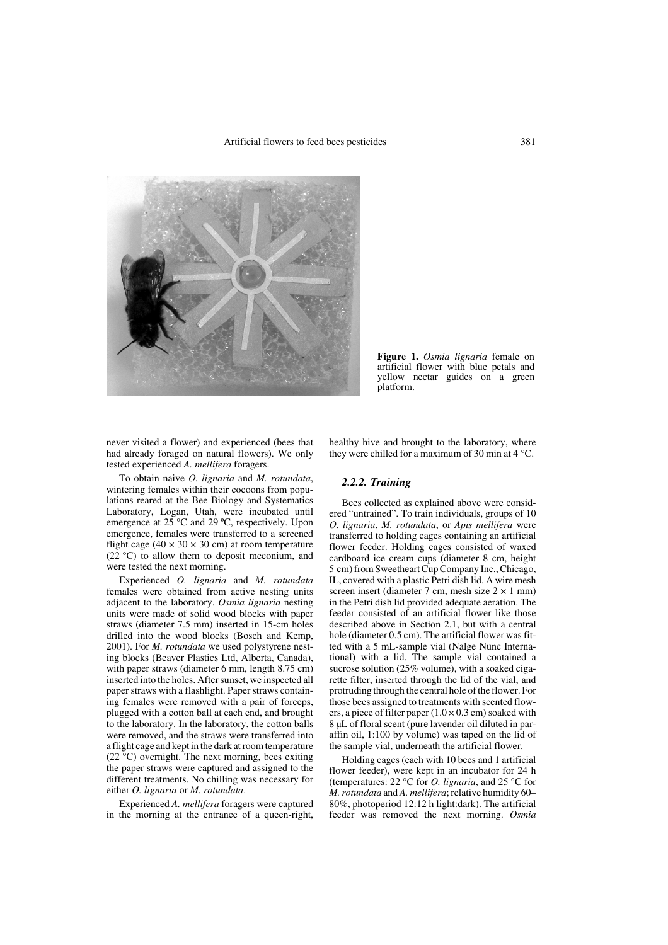

**Figure 1.** *Osmia lignaria* female on artificial flower with blue petals and yellow nectar guides on a green platform.

never visited a flower) and experienced (bees that had already foraged on natural flowers). We only tested experienced *A. mellifera* foragers.

To obtain naive *O. lignaria* and *M. rotundata*, wintering females within their cocoons from populations reared at the Bee Biology and Systematics Laboratory, Logan, Utah, were incubated until emergence at  $25^{\circ}$ C and  $29^{\circ}$ C, respectively. Upon emergence, females were transferred to a screened flight cage (40  $\times$  30  $\times$  30 cm) at room temperature (22 °C) to allow them to deposit meconium, and were tested the next morning.

Experienced *O. lignaria* and *M. rotundata* females were obtained from active nesting units adjacent to the laboratory. *Osmia lignaria* nesting units were made of solid wood blocks with paper straws (diameter 7.5 mm) inserted in 15-cm holes drilled into the wood blocks (Bosch and Kemp, 2001). For *M. rotundata* we used polystyrene nesting blocks (Beaver Plastics Ltd, Alberta, Canada), with paper straws (diameter 6 mm, length 8.75 cm) inserted into the holes. After sunset, we inspected all paper straws with a flashlight. Paper straws containing females were removed with a pair of forceps, plugged with a cotton ball at each end, and brought to the laboratory. In the laboratory, the cotton balls were removed, and the straws were transferred into a flight cage and kept in the dark at room temperature (22 °C) overnight. The next morning, bees exiting the paper straws were captured and assigned to the different treatments. No chilling was necessary for either *O. lignaria* or *M. rotundata*.

Experienced *A. mellifera* foragers were captured in the morning at the entrance of a queen-right, healthy hive and brought to the laboratory, where they were chilled for a maximum of 30 min at  $4^{\circ}$ C.

## *2.2.2. Training*

Bees collected as explained above were considered "untrained". To train individuals, groups of 10 *O. lignaria*, *M. rotundata*, or *Apis mellifera* were transferred to holding cages containing an artificial flower feeder. Holding cages consisted of waxed cardboard ice cream cups (diameter 8 cm, height 5 cm) from Sweetheart Cup Company Inc., Chicago, IL, covered with a plastic Petri dish lid. A wire mesh screen insert (diameter 7 cm, mesh size  $2 \times 1$  mm) in the Petri dish lid provided adequate aeration. The feeder consisted of an artificial flower like those described above in Section 2.1, but with a central hole (diameter 0.5 cm). The artificial flower was fitted with a 5 mL-sample vial (Nalge Nunc International) with a lid. The sample vial contained a sucrose solution (25% volume), with a soaked cigarette filter, inserted through the lid of the vial, and protruding through the central hole of the flower. For those bees assigned to treatments with scented flowers, a piece of filter paper  $(1.0 \times 0.3 \text{ cm})$  soaked with 8 µL of floral scent (pure lavender oil diluted in paraffin oil, 1:100 by volume) was taped on the lid of the sample vial, underneath the artificial flower.

Holding cages (each with 10 bees and 1 artificial flower feeder), were kept in an incubator for 24 h (temperatures: 22 °C for *O. lignaria*, and 25 °C for *M. rotundata* and *A. mellifera*; relative humidity 60– 80%, photoperiod 12:12 h light:dark). The artificial feeder was removed the next morning. *Osmia*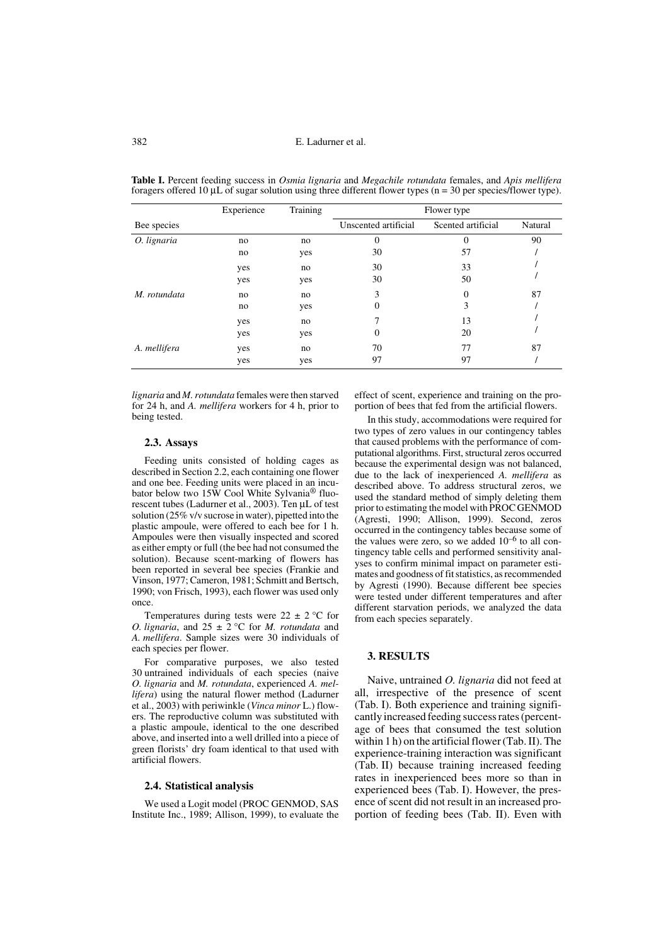|              | Experience | Training | Flower type          |                    |         |  |  |
|--------------|------------|----------|----------------------|--------------------|---------|--|--|
| Bee species  |            |          | Unscented artificial | Scented artificial | Natural |  |  |
| O. lignaria  | no         | no       | $\theta$             | 0                  | 90      |  |  |
|              | no         | yes      | 30                   | 57                 |         |  |  |
|              | yes        | no       | 30                   | 33                 |         |  |  |
|              | yes        | yes      | 30                   | 50                 |         |  |  |
| M. rotundata | no         | no       | 3                    | $\Omega$           | 87      |  |  |
|              | no         | yes      | 0                    | 3                  |         |  |  |
|              | yes        | no       |                      | 13                 |         |  |  |
|              | yes        | yes      | 0                    | 20                 |         |  |  |
| A. mellifera | yes        | no       | 70                   | 77                 | 87      |  |  |
|              | yes        | yes      | 97                   | 97                 |         |  |  |

**Table I.** Percent feeding success in *Osmia lignaria* and *Megachile rotundata* females, and *Apis mellifera* foragers offered 10  $\mu$ L of sugar solution using three different flower types (n = 30 per species/flower type).

*lignaria* and *M. rotundata* females were then starved for 24 h, and *A. mellifera* workers for 4 h, prior to being tested.

#### **2.3. Assays**

Feeding units consisted of holding cages as described in Section 2.2, each containing one flower and one bee. Feeding units were placed in an incubator below two 15W Cool White Sylvania® fluorescent tubes (Ladurner et al., 2003). Ten uL of test solution (25% v/v sucrose in water), pipetted into the plastic ampoule, were offered to each bee for 1 h. Ampoules were then visually inspected and scored as either empty or full (the bee had not consumed the solution). Because scent-marking of flowers has been reported in several bee species (Frankie and Vinson, 1977; Cameron, 1981; Schmitt and Bertsch, 1990; von Frisch, 1993), each flower was used only once.

Temperatures during tests were  $22 \pm 2$  °C for *O. lignaria*, and  $25 \pm 2$  °C for *M. rotundata* and *A. mellifera*. Sample sizes were 30 individuals of each species per flower.

For comparative purposes, we also tested 30 untrained individuals of each species (naive *O. lignaria* and *M. rotundata*, experienced *A. mellifera*) using the natural flower method (Ladurner et al., 2003) with periwinkle (*Vinca minor* L.) flowers. The reproductive column was substituted with a plastic ampoule, identical to the one described above, and inserted into a well drilled into a piece of green florists' dry foam identical to that used with artificial flowers.

#### **2.4. Statistical analysis**

We used a Logit model (PROC GENMOD, SAS Institute Inc., 1989; Allison, 1999), to evaluate the effect of scent, experience and training on the proportion of bees that fed from the artificial flowers.

In this study, accommodations were required for two types of zero values in our contingency tables that caused problems with the performance of computational algorithms. First, structural zeros occurred because the experimental design was not balanced, due to the lack of inexperienced *A. mellifera* as described above. To address structural zeros, we used the standard method of simply deleting them prior to estimating the model with PROC GENMOD (Agresti, 1990; Allison, 1999). Second, zeros occurred in the contingency tables because some of the values were zero, so we added  $10^{-6}$  to all contingency table cells and performed sensitivity analyses to confirm minimal impact on parameter estimates and goodness of fit statistics, as recommended by Agresti (1990). Because different bee species were tested under different temperatures and after different starvation periods, we analyzed the data from each species separately.

# **3. RESULTS**

Naive, untrained *O. lignaria* did not feed at all, irrespective of the presence of scent (Tab. I). Both experience and training significantly increased feeding success rates (percentage of bees that consumed the test solution within 1 h) on the artificial flower (Tab. II). The experience-training interaction was significant (Tab. II) because training increased feeding rates in inexperienced bees more so than in experienced bees (Tab. I). However, the presence of scent did not result in an increased proportion of feeding bees (Tab. II). Even with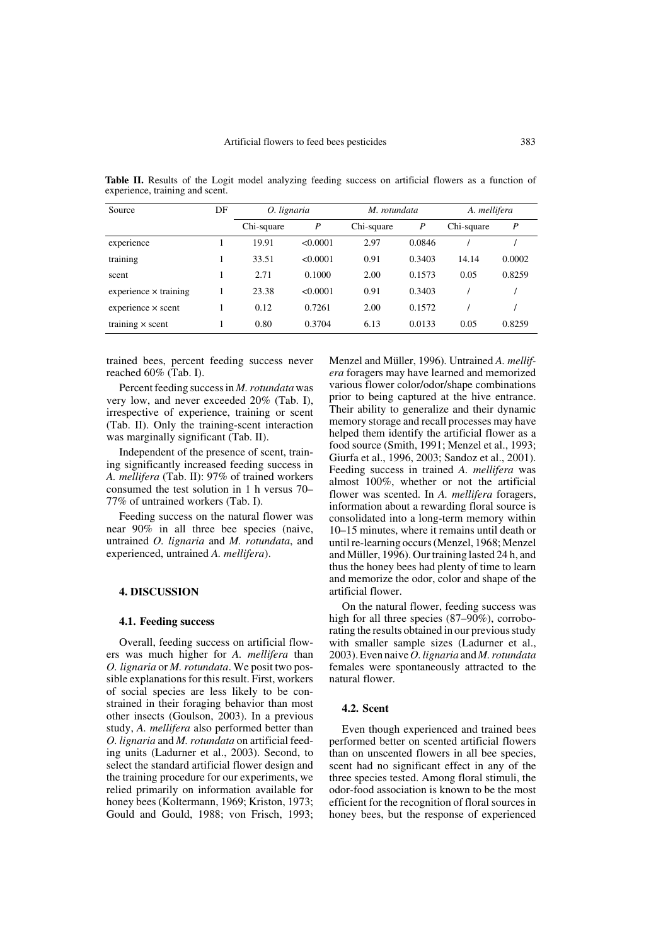| Source                       | DF | O. lignaria |          | M. rotundata |                  | A. mellifera |        |
|------------------------------|----|-------------|----------|--------------|------------------|--------------|--------|
|                              |    | Chi-square  | P        | Chi-square   | $\boldsymbol{P}$ | Chi-square   | P      |
| experience                   |    | 19.91       | < 0.0001 | 2.97         | 0.0846           |              |        |
| training                     |    | 33.51       | < 0.0001 | 0.91         | 0.3403           | 14.14        | 0.0002 |
| scent                        |    | 2.71        | 0.1000   | 2.00         | 0.1573           | 0.05         | 0.8259 |
| $experience \times training$ |    | 23.38       | < 0.0001 | 0.91         | 0.3403           |              |        |
| $experience \times scent$    |    | 0.12        | 0.7261   | 2.00         | 0.1572           |              |        |
| training $\times$ scent      |    | 0.80        | 0.3704   | 6.13         | 0.0133           | 0.05         | 0.8259 |

**Table II.** Results of the Logit model analyzing feeding success on artificial flowers as a function of experience, training and scent.

trained bees, percent feeding success never reached 60% (Tab. I).

Percent feeding success in *M. rotundata* was very low, and never exceeded 20% (Tab. I), irrespective of experience, training or scent (Tab. II). Only the training-scent interaction was marginally significant (Tab. II).

Independent of the presence of scent, training significantly increased feeding success in *A. mellifera* (Tab. II): 97% of trained workers consumed the test solution in 1 h versus 70– 77% of untrained workers (Tab. I).

Feeding success on the natural flower was near 90% in all three bee species (naive, untrained *O. lignaria* and *M. rotundata*, and experienced, untrained *A. mellifera*).

#### **4. DISCUSSION**

## **4.1. Feeding success**

Overall, feeding success on artificial flowers was much higher for *A. mellifera* than *O. lignaria* or *M. rotundata*. We posit two possible explanations for this result. First, workers of social species are less likely to be constrained in their foraging behavior than most other insects (Goulson, 2003). In a previous study, *A. mellifera* also performed better than *O. lignaria* and *M. rotundata* on artificial feeding units (Ladurner et al., 2003). Second, to select the standard artificial flower design and the training procedure for our experiments, we relied primarily on information available for honey bees (Koltermann, 1969; Kriston, 1973; Gould and Gould, 1988; von Frisch, 1993; Menzel and Müller, 1996). Untrained *A. mellifera* foragers may have learned and memorized various flower color/odor/shape combinations prior to being captured at the hive entrance. Their ability to generalize and their dynamic memory storage and recall processes may have helped them identify the artificial flower as a food source (Smith, 1991; Menzel et al., 1993; Giurfa et al., 1996, 2003; Sandoz et al., 2001). Feeding success in trained *A. mellifera* was almost 100%, whether or not the artificial flower was scented. In *A. mellifera* foragers, information about a rewarding floral source is consolidated into a long-term memory within 10–15 minutes, where it remains until death or until re-learning occurs (Menzel, 1968; Menzel and Müller, 1996). Our training lasted 24 h, and thus the honey bees had plenty of time to learn and memorize the odor, color and shape of the artificial flower.

On the natural flower, feeding success was high for all three species (87–90%), corroborating the results obtained in our previous study with smaller sample sizes (Ladurner et al., 2003). Even naive *O. lignaria* and *M. rotundata* females were spontaneously attracted to the natural flower.

# **4.2. Scent**

Even though experienced and trained bees performed better on scented artificial flowers than on unscented flowers in all bee species, scent had no significant effect in any of the three species tested. Among floral stimuli, the odor-food association is known to be the most efficient for the recognition of floral sources in honey bees, but the response of experienced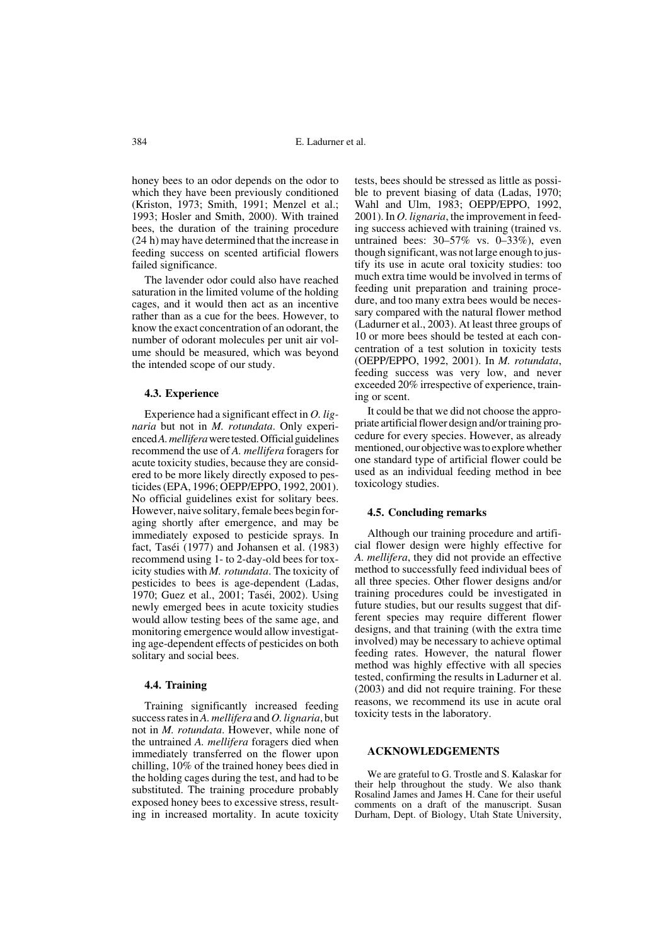honey bees to an odor depends on the odor to which they have been previously conditioned (Kriston, 1973; Smith, 1991; Menzel et al.; 1993; Hosler and Smith, 2000). With trained bees, the duration of the training procedure (24 h) may have determined that the increase in feeding success on scented artificial flowers failed significance.

The lavender odor could also have reached saturation in the limited volume of the holding cages, and it would then act as an incentive rather than as a cue for the bees. However, to know the exact concentration of an odorant, the number of odorant molecules per unit air volume should be measured, which was beyond the intended scope of our study.

## **4.3. Experience**

Experience had a significant effect in *O. lignaria* but not in *M. rotundata*. Only experienced *A. mellifera* were tested. Official guidelines recommend the use of *A. mellifera* foragers for acute toxicity studies, because they are considered to be more likely directly exposed to pesticides (EPA, 1996; OEPP/EPPO, 1992, 2001). No official guidelines exist for solitary bees. However, naive solitary, female bees begin foraging shortly after emergence, and may be immediately exposed to pesticide sprays. In fact, Taséi (1977) and Johansen et al. (1983) recommend using 1- to 2-day-old bees for toxicity studies with *M. rotundata*. The toxicity of pesticides to bees is age-dependent (Ladas, 1970; Guez et al., 2001; Taséi, 2002). Using newly emerged bees in acute toxicity studies would allow testing bees of the same age, and monitoring emergence would allow investigating age-dependent effects of pesticides on both solitary and social bees.

#### **4.4. Training**

Training significantly increased feeding success rates in *A. mellifera* and *O. lignaria*, but not in *M. rotundata*. However, while none of the untrained *A. mellifera* foragers died when immediately transferred on the flower upon chilling, 10% of the trained honey bees died in the holding cages during the test, and had to be substituted. The training procedure probably exposed honey bees to excessive stress, resulting in increased mortality. In acute toxicity

tests, bees should be stressed as little as possible to prevent biasing of data (Ladas, 1970; Wahl and Ulm, 1983; OEPP/EPPO, 1992, 2001). In *O. lignaria*, the improvement in feeding success achieved with training (trained vs. untrained bees: 30–57% vs. 0–33%), even though significant, was not large enough to justify its use in acute oral toxicity studies: too much extra time would be involved in terms of feeding unit preparation and training procedure, and too many extra bees would be necessary compared with the natural flower method (Ladurner et al., 2003). At least three groups of 10 or more bees should be tested at each concentration of a test solution in toxicity tests (OEPP/EPPO, 1992, 2001). In *M. rotundata*, feeding success was very low, and never exceeded 20% irrespective of experience, training or scent.

It could be that we did not choose the appropriate artificial flower design and/or training procedure for every species. However, as already mentioned, our objective was to explore whether one standard type of artificial flower could be used as an individual feeding method in bee toxicology studies.

# **4.5. Concluding remarks**

Although our training procedure and artificial flower design were highly effective for *A. mellifera*, they did not provide an effective method to successfully feed individual bees of all three species. Other flower designs and/or training procedures could be investigated in future studies, but our results suggest that different species may require different flower designs, and that training (with the extra time involved) may be necessary to achieve optimal feeding rates. However, the natural flower method was highly effective with all species tested, confirming the results in Ladurner et al. (2003) and did not require training. For these reasons, we recommend its use in acute oral toxicity tests in the laboratory.

#### **ACKNOWLEDGEMENTS**

We are grateful to G. Trostle and S. Kalaskar for their help throughout the study. We also thank Rosalind James and James H. Cane for their useful comments on a draft of the manuscript. Susan Durham, Dept. of Biology, Utah State University,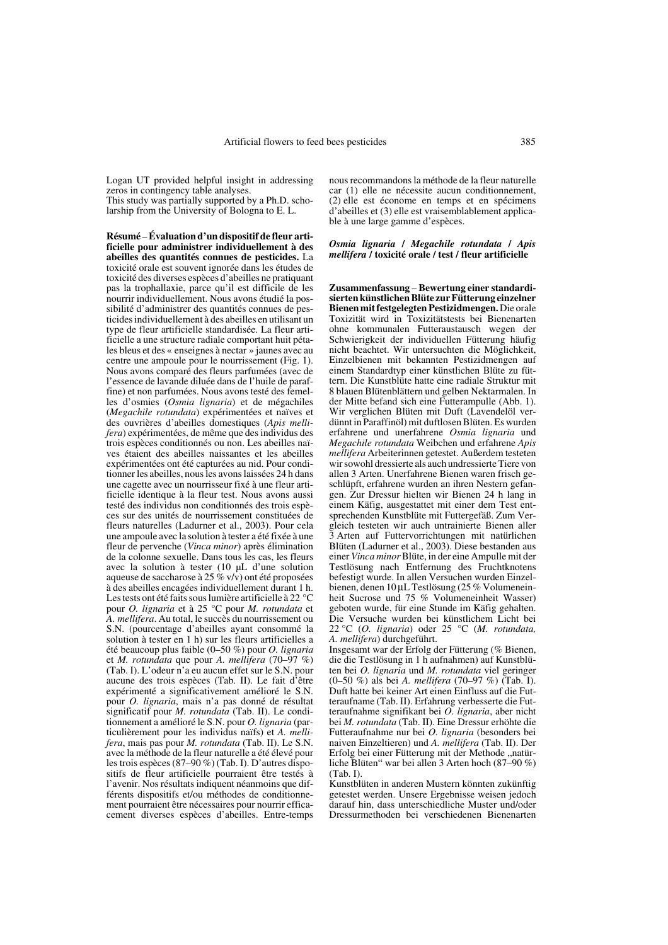Logan UT provided helpful insight in addressing zeros in contingency table analyses. This study was partially supported by a Ph.D. scholarship from the University of Bologna to E. L.

**Résumé** – **Évaluation d'un dispositif de fleur artificielle pour administrer individuellement à des abeilles des quantités connues de pesticides.** La toxicité orale est souvent ignorée dans les études de toxicité des diverses espèces d'abeilles ne pratiquant pas la trophallaxie, parce qu'il est difficile de les nourrir individuellement. Nous avons étudié la possibilité d'administrer des quantités connues de pesticides individuellement à des abeilles en utilisant un type de fleur artificielle standardisée. La fleur artificielle a une structure radiale comportant huit pétales bleus et des « enseignes à nectar » jaunes avec au centre une ampoule pour le nourrissement (Fig. 1). Nous avons comparé des fleurs parfumées (avec de l'essence de lavande diluée dans de l'huile de paraffine) et non parfumées. Nous avons testé des femelles d'osmies (*Osmia lignaria*) et de mégachiles (*Megachile rotundata*) expérimentées et naïves et des ouvrières d'abeilles domestiques (*Apis mellifera*) expérimentées, de même que des individus des trois espèces conditionnés ou non. Les abeilles naïves étaient des abeilles naissantes et les abeilles expérimentées ont été capturées au nid. Pour conditionner les abeilles, nous les avons laissées 24 h dans une cagette avec un nourrisseur fixé à une fleur artificielle identique à la fleur test. Nous avons aussi testé des individus non conditionnés des trois espèces sur des unités de nourrissement constituées de fleurs naturelles (Ladurner et al., 2003). Pour cela une ampoule avec la solution à tester a été fixée à une fleur de pervenche (*Vinca minor*) après élimination de la colonne sexuelle. Dans tous les cas, les fleurs avec la solution à tester (10 µL d'une solution aqueuse de saccharose à 25 % v/v) ont été proposées à des abeilles encagées individuellement durant 1 h. Les tests ont été faits sous lumière artificielle à 22 °C pour *O. lignaria* et à 25 °C pour *M. rotundata* et *A. mellifera*. Au total, le succès du nourrissement ou S.N. (pourcentage d'abeilles ayant consommé la solution à tester en 1 h) sur les fleurs artificielles a été beaucoup plus faible (0–50 %) pour *O. lignaria* et *M. rotundata* que pour *A. mellifera* (70–97 %) (Tab. I). L'odeur n'a eu aucun effet sur le S.N. pour aucune des trois espèces (Tab. II). Le fait d'être expérimenté a significativement amélioré le S.N. pour *O. lignaria*, mais n'a pas donné de résultat significatif pour *M. rotundata* (Tab. II). Le conditionnement a amélioré le S.N. pour *O. lignaria* (particulièrement pour les individus naïfs) et *A. mellifera*, mais pas pour *M. rotundata* (Tab. II). Le S.N. avec la méthode de la fleur naturelle a été élevé pour les trois espèces (87–90 %) (Tab. I). D'autres dispositifs de fleur artificielle pourraient être testés à l'avenir. Nos résultats indiquent néanmoins que différents dispositifs et/ou méthodes de conditionnement pourraient être nécessaires pour nourrir efficacement diverses espèces d'abeilles. Entre-temps nous recommandons la méthode de la fleur naturelle car (1) elle ne nécessite aucun conditionnement, (2) elle est économe en temps et en spécimens d'abeilles et (3) elle est vraisemblablement applicable à une large gamme d'espèces.

#### *Osmia lignaria* **/** *Megachile rotundata* **/** *Apis mellifera* **/ toxicité orale / test / fleur artificielle**

**Zusammenfassung** – **Bewertung einer standardisierten künstlichen Blüte zur Fütterung einzelner Bienen mit festgelegten Pestizidmengen.** Die orale Toxizität wird in Toxizitätstests bei Bienenarten ohne kommunalen Futteraustausch wegen der Schwierigkeit der individuellen Fütterung häufig nicht beachtet. Wir untersuchten die Möglichkeit, Einzelbienen mit bekannten Pestizidmengen auf einem Standardtyp einer künstlichen Blüte zu füttern. Die Kunstblüte hatte eine radiale Struktur mit 8 blauen Blütenblättern und gelben Nektarmalen. In der Mitte befand sich eine Futterampulle (Abb. 1). Wir verglichen Blüten mit Duft (Lavendelöl verdünnt in Paraffinöl) mit duftlosen Blüten. Es wurden erfahrene und unerfahrene *Osmia lignaria* und *Megachile rotundata* Weibchen und erfahrene *Apis mellifera* Arbeiterinnen getestet. Außerdem testeten wir sowohl dressierte als auch undressierte Tiere von allen 3 Arten. Unerfahrene Bienen waren frisch geschlüpft, erfahrene wurden an ihren Nestern gefangen. Zur Dressur hielten wir Bienen 24 h lang in einem Käfig, ausgestattet mit einer dem Test entsprechenden Kunstblüte mit Futtergefäß. Zum Vergleich testeten wir auch untrainierte Bienen aller 3 Arten auf Futtervorrichtungen mit natürlichen Blüten (Ladurner et al., 2003). Diese bestanden aus einer *Vinca minor* Blüte, in der eine Ampulle mit der Testlösung nach Entfernung des Fruchtknotens befestigt wurde. In allen Versuchen wurden Einzelbienen, denen 10 µL Testlösung (25 % Volumeneinheit Sucrose und 75 % Volumeneinheit Wasser) geboten wurde, für eine Stunde im Käfig gehalten. Die Versuche wurden bei künstlichem Licht bei 22 °C (*O. lignaria*) oder 25 °C (*M. rotundata, A. mellifera*) durchgeführt.

Insgesamt war der Erfolg der Fütterung (% Bienen, die die Testlösung in 1 h aufnahmen) auf Kunstblüten bei *O. lignaria* und *M. rotundata* viel geringer (0–50 %) als bei *A. mellifera* (70–97 %) (Tab. I). Duft hatte bei keiner Art einen Einfluss auf die Futteraufname (Tab. II). Erfahrung verbesserte die Futteraufnahme signifikant bei *O. lignaria*, aber nicht bei *M. rotundata* (Tab. II). Eine Dressur erhöhte die Futteraufnahme nur bei *O. lignaria* (besonders bei naiven Einzeltieren) und *A. mellifera* (Tab. II). Der Erfolg bei einer Fütterung mit der Methode "natürliche Blüten" war bei allen 3 Arten hoch (87–90 %) (Tab. I).

Kunstblüten in anderen Mustern könnten zukünftig getestet werden. Unsere Ergebnisse weisen jedoch darauf hin, dass unterschiedliche Muster und/oder Dressurmethoden bei verschiedenen Bienenarten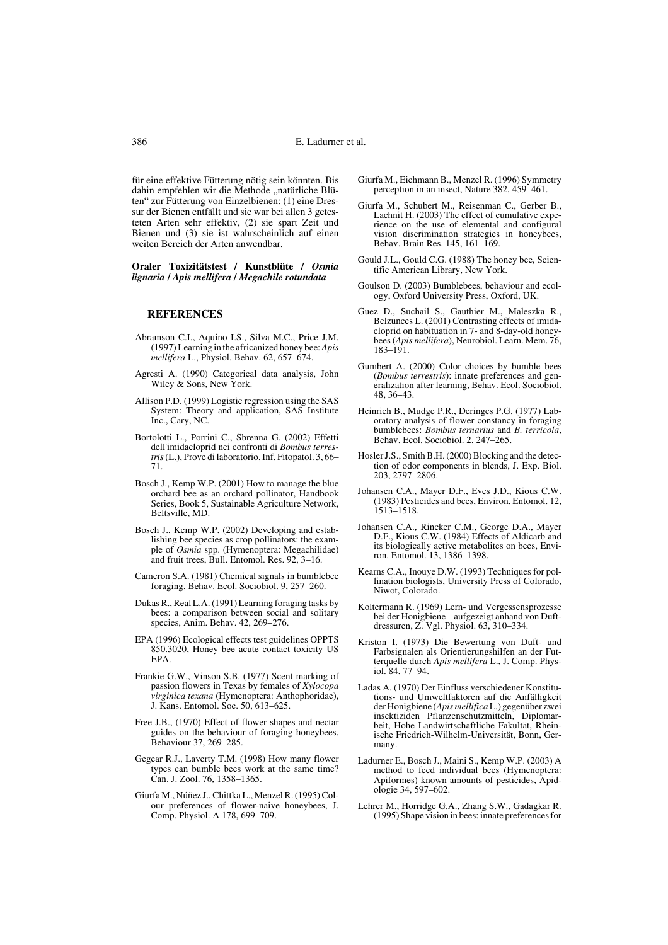für eine effektive Fütterung nötig sein könnten. Bis dahin empfehlen wir die Methode "natürliche Blüten" zur Fütterung von Einzelbienen: (1) eine Dressur der Bienen entfällt und sie war bei allen 3 getesteten Arten sehr effektiv, (2) sie spart Zeit und Bienen und (3) sie ist wahrscheinlich auf einen weiten Bereich der Arten anwendbar.

**Oraler Toxizitätstest / Kunstblüte /** *Osmia lignaria* **/** *Apis mellifera* **/** *Megachile rotundata*

## **REFERENCES**

- Abramson C.I., Aquino I.S., Silva M.C., Price J.M. (1997) Learning in the africanized honey bee: *Apis mellifera* L., Physiol. Behav. 62, 657–674.
- Agresti A. (1990) Categorical data analysis, John Wiley & Sons, New York.
- Allison P.D. (1999) Logistic regression using the SAS System: Theory and application, SAS Institute Inc., Cary, NC.
- Bortolotti L., Porrini C., Sbrenna G. (2002) Effetti dell'imidacloprid nei confronti di *Bombus terrestris* (L.), Prove di laboratorio, Inf. Fitopatol. 3, 66– 71.
- Bosch J., Kemp W.P. (2001) How to manage the blue orchard bee as an orchard pollinator, Handbook Series, Book 5, Sustainable Agriculture Network, Beltsville, MD.
- Bosch J., Kemp W.P. (2002) Developing and establishing bee species as crop pollinators: the example of *Osmia* spp. (Hymenoptera: Megachilidae) and fruit trees, Bull. Entomol. Res. 92, 3–16.
- Cameron S.A. (1981) Chemical signals in bumblebee foraging, Behav. Ecol. Sociobiol. 9, 257–260.
- Dukas R., Real L.A. (1991) Learning foraging tasks by bees: a comparison between social and solitary species, Anim. Behav. 42, 269–276.
- EPA (1996) Ecological effects test guidelines OPPTS 850.3020, Honey bee acute contact toxicity US EPA.
- Frankie G.W., Vinson S.B. (1977) Scent marking of passion flowers in Texas by females of *Xylocopa virginica texana* (Hymenoptera: Anthophoridae), J. Kans. Entomol. Soc. 50, 613–625.
- Free J.B., (1970) Effect of flower shapes and nectar guides on the behaviour of foraging honeybees, Behaviour 37, 269–285.
- Gegear R.J., Laverty T.M. (1998) How many flower types can bumble bees work at the same time? Can. J. Zool. 76, 1358–1365.
- Giurfa M., Núñez J., Chittka L., Menzel R. (1995) Colour preferences of flower-naive honeybees, J. Comp. Physiol. A 178, 699–709.
- Giurfa M., Eichmann B., Menzel R. (1996) Symmetry perception in an insect, Nature 382, 459–461.
- Giurfa M., Schubert M., Reisenman C., Gerber B. Lachnit H. (2003) The effect of cumulative experience on the use of elemental and configural vision discrimination strategies in honeybees, Behav. Brain Res. 145, 161–169.
- Gould J.L., Gould C.G. (1988) The honey bee, Scientific American Library, New York.
- Goulson D. (2003) Bumblebees, behaviour and ecology, Oxford University Press, Oxford, UK.
- Guez D., Suchail S., Gauthier M., Maleszka R., Belzunces L. (2001) Contrasting effects of imidacloprid on habituation in 7- and 8-day-old honeybees (*Apis mellifera*), Neurobiol. Learn. Mem. 76, 183–191.
- Gumbert A. (2000) Color choices by bumble bees (*Bombus terrestris*): innate preferences and generalization after learning, Behav. Ecol. Sociobiol. 48, 36–43.
- Heinrich B., Mudge P.R., Deringes P.G. (1977) Laboratory analysis of flower constancy in foraging bumblebees: *Bombus ternarius* and *B. terricola*, Behav. Ecol. Sociobiol. 2, 247–265.
- Hosler J.S., Smith B.H. (2000) Blocking and the detection of odor components in blends, J. Exp. Biol. 203, 2797–2806.
- Johansen C.A., Mayer D.F., Eves J.D., Kious C.W. (1983) Pesticides and bees, Environ. Entomol. 12, 1513–1518.
- Johansen C.A., Rincker C.M., George D.A., Mayer D.F., Kious C.W. (1984) Effects of Aldicarb and its biologically active metabolites on bees, Environ. Entomol. 13, 1386–1398.
- Kearns C.A., Inouye D.W. (1993) Techniques for pollination biologists, University Press of Colorado, Niwot, Colorado.
- Koltermann R. (1969) Lern- und Vergessensprozesse bei der Honigbiene – aufgezeigt anhand von Duftdressuren, Z. Vgl. Physiol. 63, 310–334.
- Kriston I. (1973) Die Bewertung von Duft- und Farbsignalen als Orientierungshilfen an der Futterquelle durch *Apis mellifera* L., J. Comp. Physiol. 84, 77–94.
- Ladas A. (1970) Der Einfluss verschiedener Konstitutions- und Umweltfaktoren auf die Anfälligkeit der Honigbiene (*Apis mellifica* L.) gegenüber zwei insektiziden Pflanzenschutzmitteln, Diplomarbeit, Hohe Landwirtschaftliche Fakultät, Rheinische Friedrich-Wilhelm-Universität, Bonn, Germany.
- Ladurner E., Bosch J., Maini S., Kemp W.P. (2003) A method to feed individual bees (Hymenoptera: Apiformes) known amounts of pesticides, Apidologie 34, 597–602.
- Lehrer M., Horridge G.A., Zhang S.W., Gadagkar R. (1995) Shape vision in bees: innate preferences for